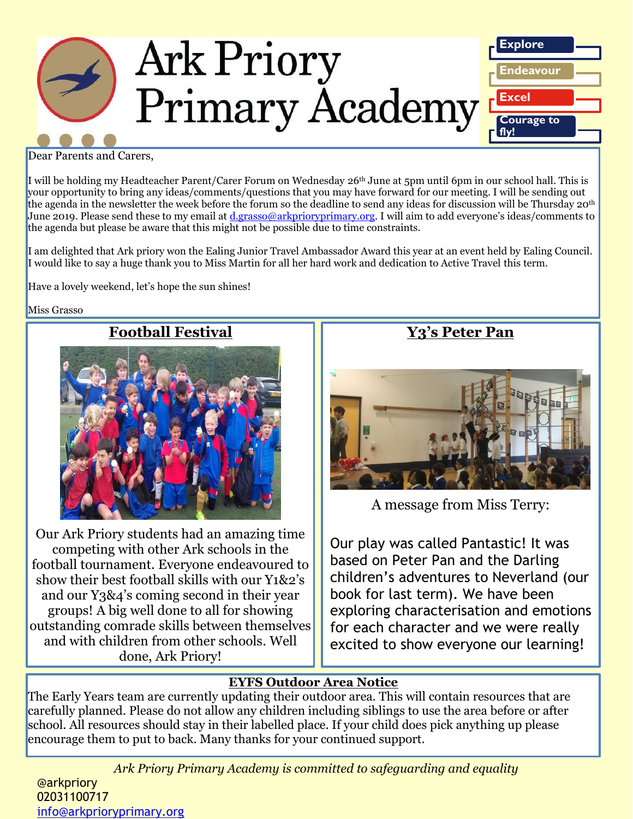

#### Dear Parents and Carers,

I will be holding my Headteacher Parent/Carer Forum on Wednesday 26th June at 5pm until 6pm in our school hall. This is your opportunity to bring any ideas/comments/questions that you may have forward for our meeting. I will be sending out the agenda in the newsletter the week before the forum so the deadline to send any ideas for discussion will be Thursday 20th June 2019. Please send these to my email at [d.grasso@arkprioryprimary.org](mailto:d.grasso@arkprioryprimary.org). I will aim to add everyone's ideas/comments to the agenda but please be aware that this might not be possible due to time constraints.

I am delighted that Ark priory won the Ealing Junior Travel Ambassador Award this year at an event held by Ealing Council. I would like to say a huge thank you to Miss Martin for all her hard work and dedication to Active Travel this term.

Have a lovely weekend, let's hope the sun shines!

#### Miss Grasso

## **Football Festival**



Our Ark Priory students had an amazing time competing with other Ark schools in the football tournament. Everyone endeavoured to show their best football skills with our Y1&2's and our Y3&4's coming second in their year groups! A big well done to all for showing outstanding comrade skills between themselves and with children from other schools. Well done, Ark Priory!

## **Y3's Peter Pan**



A message from Miss Terry:

Our play was called Pantastic! It was based on Peter Pan and the Darling children's adventures to Neverland (our book for last term). We have been exploring characterisation and emotions for each character and we were really excited to show everyone our learning!

#### **EYFS Outdoor Area Notice**

The Early Years team are currently updating their outdoor area. This will contain resources that are carefully planned. Please do not allow any children including siblings to use the area before or after school. All resources should stay in their labelled place. If your child does pick anything up please encourage them to put to back. Many thanks for your continued support.

*Ark Priory Primary Academy is committed to safeguarding and equality* 

@arkpriory 02031100717 [info@arkprioryprimary.org](mailto:info@arkprioryprimary.org)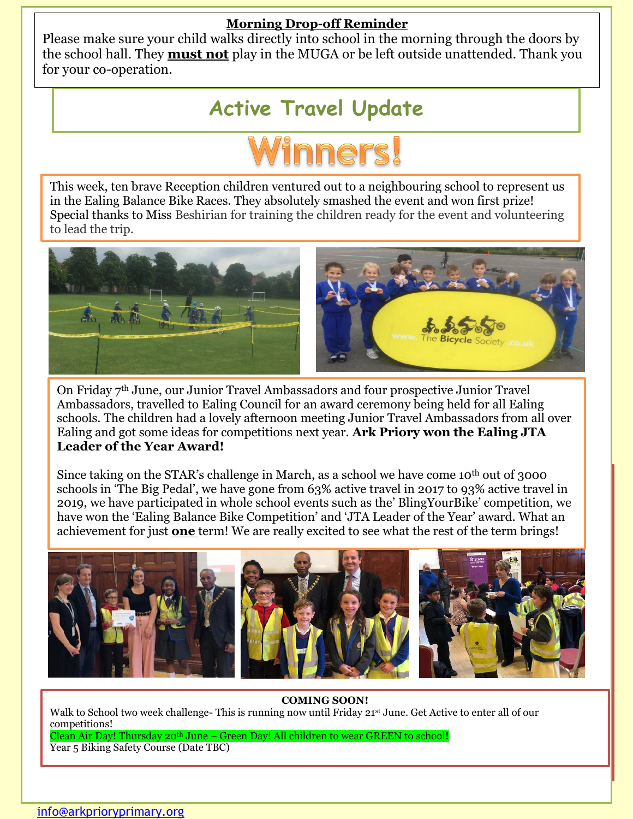### **Morning Drop-off Reminder**

Please make sure your child walks directly into school in the morning through the doors by the school hall. They **must not** play in the MUGA or be left outside unattended. Thank you for your co-operation.

# **Active Travel Update**



This week, ten brave Reception children ventured out to a neighbouring school to represent us in the Ealing Balance Bike Races. They absolutely smashed the event and won first prize! Special thanks to Miss Beshirian for training the children ready for the event and volunteering to lead the trip.



On Friday 7th June, our Junior Travel Ambassadors and four prospective Junior Travel Ambassadors, travelled to Ealing Council for an award ceremony being held for all Ealing schools. The children had a lovely afternoon meeting Junior Travel Ambassadors from all over Ealing and got some ideas for competitions next year. **Ark Priory won the Ealing JTA Leader of the Year Award!**

Since taking on the STAR's challenge in March, as a school we have come 10<sup>th</sup> out of 3000 schools in 'The Big Pedal', we have gone from 63% active travel in 2017 to 93% active travel in 2019, we have participated in whole school events such as the' BlingYourBike' competition, we have won the 'Ealing Balance Bike Competition' and 'JTA Leader of the Year' award. What an achievement for just **one** term! We are really excited to see what the rest of the term brings!



#### **COMING SOON!**

*Ark Priory Primary Academy is committed to safeguarding and equality* 

Walk to School two week challenge- This is running now until Friday 21<sup>st</sup> June. Get Active to enter all of our competitions!

Clean Air Day! Thursday 20th June – Green Day! All children to wear GREEN to school! Year 5 Biking Safety Course (Date TBC)

<u>020311007110</u>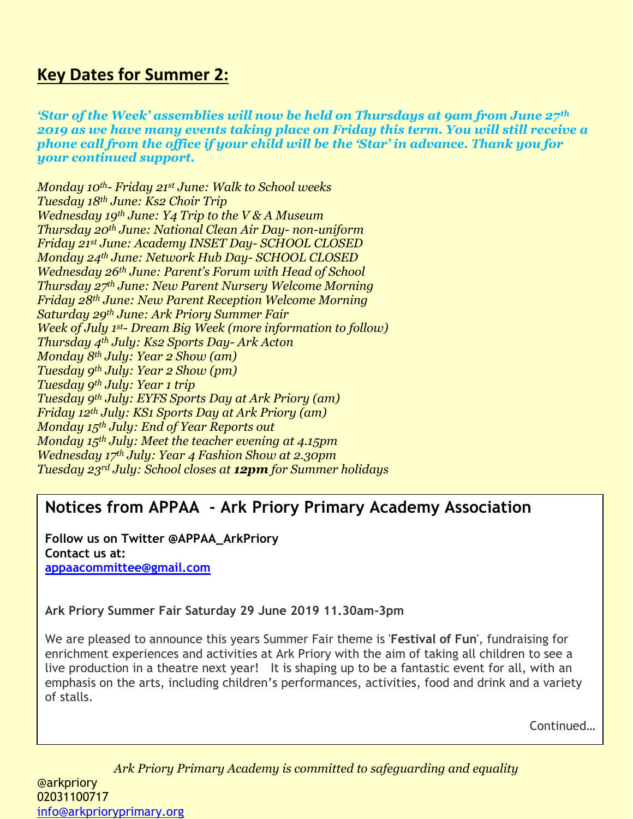# **Key Dates for Summer 2:**

*'Star of the Week' assemblies will now be held on Thursdays at 9am from June 27th 2019 as we have many events taking place on Friday this term. You will still receive a phone call from the office if your child will be the 'Star' in advance. Thank you for your continued support.*

*Monday 10th- Friday 21st June: Walk to School weeks Tuesday 18th June: Ks2 Choir Trip Wednesday 19th June: Y4 Trip to the V & A Museum Thursday 20th June: National Clean Air Day- non-uniform Friday 21st June: Academy INSET Day- SCHOOL CLOSED Monday 24th June: Network Hub Day- SCHOOL CLOSED Wednesday 26th June: Parent's Forum with Head of School Thursday 27th June: New Parent Nursery Welcome Morning Friday 28th June: New Parent Reception Welcome Morning Saturday 29th June: Ark Priory Summer Fair Week of July 1st- Dream Big Week (more information to follow) Thursday 4th July: Ks2 Sports Day- Ark Acton Monday 8th July: Year 2 Show (am) Tuesday 9th July: Year 2 Show (pm) Tuesday 9th July: Year 1 trip Tuesday 9th July: EYFS Sports Day at Ark Priory (am) Friday 12th July: KS1 Sports Day at Ark Priory (am) Monday 15th July: End of Year Reports out Monday 15th July: Meet the teacher evening at 4.15pm Wednesday 17th July: Year 4 Fashion Show at 2.30pm Tuesday 23rd July: School closes at 12pm for Summer holidays*

# **Notices from APPAA - Ark Priory Primary Academy Association**

**Follow us on Twitter @APPAA\_ArkPriory Contact us at: [appaacommittee@gmail.com](mailto:appaacommittee@gmail.com)**

**Ark Priory Summer Fair Saturday 29 June 2019 11.30am-3pm**

We are pleased to announce this years Summer Fair theme is '**Festival of Fun**', fundraising for enrichment experiences and activities at Ark Priory with the aim of taking all children to see a live production in a theatre next year! It is shaping up to be a fantastic event for all, with an emphasis on the arts, including children's performances, activities, food and drink and a variety of stalls.

Continued…

*Ark Priory Primary Academy is committed to safeguarding and equality*  @arkpriory 02031100717 [info@arkprioryprimary.org](mailto:info@arkprioryprimary.org)